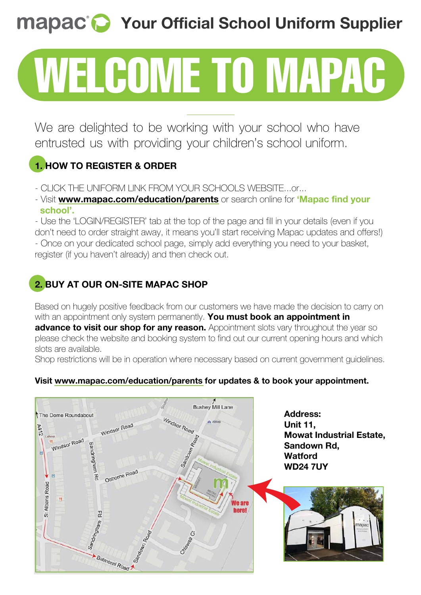# **Mapac<sup>®</sup>** Your Official School Uniform Supplier

# WELCOME TO MAPAC

We are delighted to be working with your school who have entrusted us with providing your children's school uniform.

### **1. HOW TO REGISTER & ORDER**

- CLICK THE UNIFORM LINK FROM YOUR SCHOOLS WEBSITE...or...
- Visit **www.mapac.com/education/parents** or search online for **'Mapac find your school'.**

- Use the 'LOGIN/REGISTER' tab at the top of the page and fill in your details (even if you don't need to order straight away, it means you'll start receiving Mapac updates and offers!) - Once on your dedicated school page, simply add everything you need to your basket, register (if you haven't already) and then check out.

### **2. BUY AT OUR ON-SITE MAPAC SHOP**

Based on hugely positive feedback from our customers we have made the decision to carry on with an appointment only system permanently. **You must book an appointment in advance to visit our shop for any reason.** Appointment slots vary throughout the year so please check the website and booking system to find out our current opening hours and which slots are available.

Shop restrictions will be in operation where necessary based on current government guidelines.

### **Visit www.mapac.com/education/parents for updates & to book your appointment.**



**Address: Unit 11, Mowat Industrial Estate, Sandown Rd, Watford WD24 7UY**